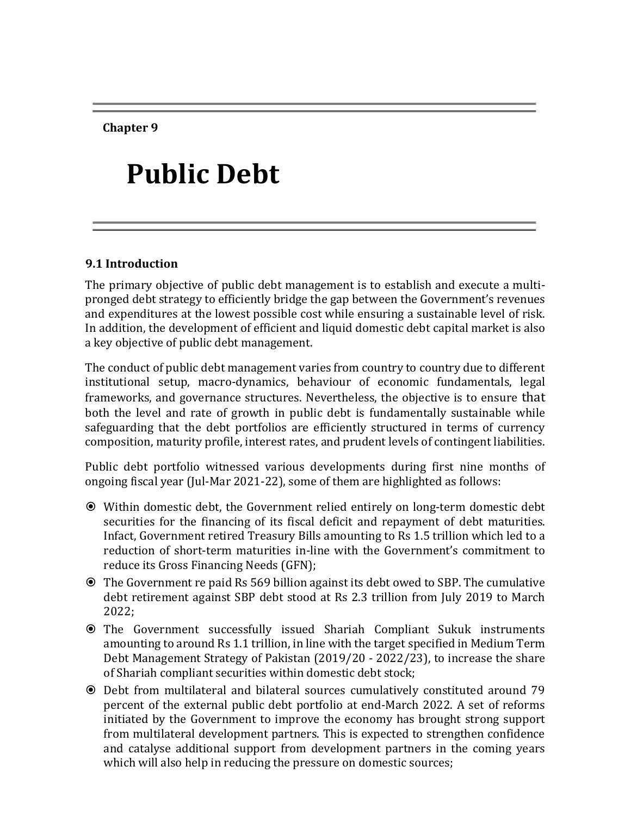**Chapter 9**

# **Public Debt**

## **9.1 Introduction**

The primary objective of public debt management is to establish and execute a multipronged debt strategy to efficiently bridge the gap between the Government's revenues and expenditures at the lowest possible cost while ensuring a sustainable level of risk. In addition, the development of efficient and liquid domestic debt capital market is also a key objective of public debt management.

The conduct of public debt management varies from country to country due to different institutional setup, macro-dynamics, behaviour of economic fundamentals, legal frameworks, and governance structures. Nevertheless, the objective is to ensure that both the level and rate of growth in public debt is fundamentally sustainable while safeguarding that the debt portfolios are efficiently structured in terms of currency composition, maturity profile, interest rates, and prudent levels of contingent liabilities.

Public debt portfolio witnessed various developments during first nine months of ongoing fiscal year (Jul-Mar 2021-22), some of them are highlighted as follows:

- Within domestic debt, the Government relied entirely on long-term domestic debt securities for the financing of its fiscal deficit and repayment of debt maturities. Infact, Government retired Treasury Bills amounting to Rs 1.5 trillion which led to a reduction of short-term maturities in-line with the Government's commitment to reduce its Gross Financing Needs (GFN);
- The Government re paid Rs 569 billion against its debt owed to SBP. The cumulative debt retirement against SBP debt stood at Rs 2.3 trillion from July 2019 to March 2022;
- The Government successfully issued Shariah Compliant Sukuk instruments amounting to around Rs 1.1 trillion, in line with the target specified in Medium Term Debt Management Strategy of Pakistan (2019/20 - 2022/23), to increase the share of Shariah compliant securities within domestic debt stock;
- Debt from multilateral and bilateral sources cumulatively constituted around 79 percent of the external public debt portfolio at end-March 2022. A set of reforms initiated by the Government to improve the economy has brought strong support from multilateral development partners. This is expected to strengthen confidence and catalyse additional support from development partners in the coming years which will also help in reducing the pressure on domestic sources;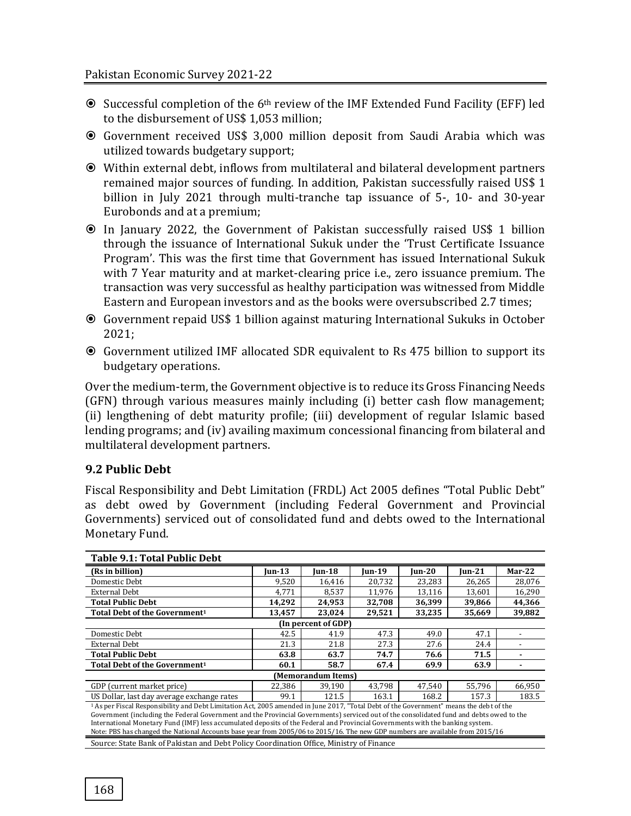- Successful completion of the 6th review of the IMF Extended Fund Facility (EFF) led to the disbursement of US\$ 1,053 million;
- Government received US\$ 3,000 million deposit from Saudi Arabia which was utilized towards budgetary support;
- Within external debt, inflows from multilateral and bilateral development partners remained major sources of funding. In addition, Pakistan successfully raised US\$ 1 billion in July 2021 through multi-tranche tap issuance of 5-, 10- and 30-year Eurobonds and at a premium;
- In January 2022, the Government of Pakistan successfully raised US\$ 1 billion through the issuance of International Sukuk under the 'Trust Certificate Issuance Program'. This was the first time that Government has issued International Sukuk with 7 Year maturity and at market-clearing price i.e., zero issuance premium. The transaction was very successful as healthy participation was witnessed from Middle Eastern and European investors and as the books were oversubscribed 2.7 times;
- Government repaid US\$ 1 billion against maturing International Sukuks in October 2021;
- Government utilized IMF allocated SDR equivalent to Rs 475 billion to support its budgetary operations.

Over the medium-term, the Government objective is to reduce its Gross Financing Needs (GFN) through various measures mainly including (i) better cash flow management; (ii) lengthening of debt maturity profile; (iii) development of regular Islamic based lending programs; and (iv) availing maximum concessional financing from bilateral and multilateral development partners.

# **9.2 Public Debt**

Fiscal Responsibility and Debt Limitation (FRDL) Act 2005 defines "Total Public Debt" as debt owed by Government (including Federal Government and Provincial Governments) serviced out of consolidated fund and debts owed to the International Monetary Fund.

| <b>Table 9.1: Total Public Debt</b>                                                                                                                                                                                                                             |        |                    |        |        |        |          |  |  |  |  |
|-----------------------------------------------------------------------------------------------------------------------------------------------------------------------------------------------------------------------------------------------------------------|--------|--------------------|--------|--------|--------|----------|--|--|--|--|
| (Rs in billion)                                                                                                                                                                                                                                                 | Iun-13 | Iun-18             | Iun-19 | Iun-20 | Iun-21 | $Mar-22$ |  |  |  |  |
| Domestic Debt                                                                                                                                                                                                                                                   | 9,520  | 16,416             | 20,732 | 23,283 | 26,265 | 28,076   |  |  |  |  |
| <b>External Debt</b>                                                                                                                                                                                                                                            | 4,771  | 8,537              | 11,976 | 13,116 | 13,601 | 16,290   |  |  |  |  |
| <b>Total Public Debt</b>                                                                                                                                                                                                                                        | 14,292 | 24,953             | 32,708 | 36,399 | 39,866 | 44,366   |  |  |  |  |
| Total Debt of the Government <sup>1</sup>                                                                                                                                                                                                                       | 13,457 | 23,024             | 29,521 | 33,235 | 35,669 | 39,882   |  |  |  |  |
| (In percent of GDP)                                                                                                                                                                                                                                             |        |                    |        |        |        |          |  |  |  |  |
| Domestic Debt                                                                                                                                                                                                                                                   | 42.5   | 41.9               | 47.3   | 49.0   | 47.1   |          |  |  |  |  |
| <b>External Debt</b>                                                                                                                                                                                                                                            | 21.3   | 21.8               | 27.3   | 27.6   | 24.4   |          |  |  |  |  |
| <b>Total Public Debt</b>                                                                                                                                                                                                                                        | 63.8   | 63.7               | 74.7   | 76.6   | 71.5   |          |  |  |  |  |
| Total Debt of the Government <sup>1</sup>                                                                                                                                                                                                                       | 60.1   | 58.7               | 67.4   | 69.9   | 63.9   |          |  |  |  |  |
|                                                                                                                                                                                                                                                                 |        | (Memorandum Items) |        |        |        |          |  |  |  |  |
| GDP (current market price)                                                                                                                                                                                                                                      | 22,386 | 39.190             | 43,798 | 47,540 | 55,796 | 66,950   |  |  |  |  |
| US Dollar, last day average exchange rates                                                                                                                                                                                                                      | 99.1   | 121.5              | 163.1  | 168.2  | 157.3  | 183.5    |  |  |  |  |
| <sup>1</sup> As per Fiscal Responsibility and Debt Limitation Act, 2005 amended in June 2017, "Total Debt of the Government" means the debt of the                                                                                                              |        |                    |        |        |        |          |  |  |  |  |
| Government (including the Federal Government and the Provincial Governments) serviced out of the consolidated fund and debts owed to the                                                                                                                        |        |                    |        |        |        |          |  |  |  |  |
| International Monetary Fund (IMF) less accumulated deposits of the Federal and Provincial Governments with the banking system.<br>Note: PBS has changed the National Accounts base year from 2005/06 to 2015/16. The new GDP numbers are available from 2015/16 |        |                    |        |        |        |          |  |  |  |  |
|                                                                                                                                                                                                                                                                 |        |                    |        |        |        |          |  |  |  |  |
| Source: State Bank of Pakistan and Debt Policy Coordination Office, Ministry of Finance                                                                                                                                                                         |        |                    |        |        |        |          |  |  |  |  |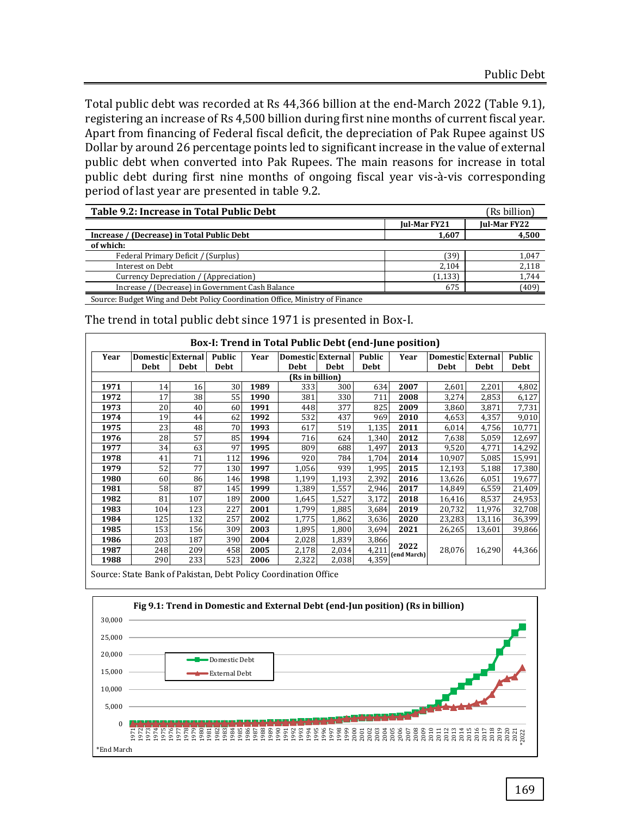Total public debt was recorded at Rs 44,366 billion at the end-March 2022 (Table 9.1), registering an increase of Rs 4,500 billion during first nine months of current fiscal year. Apart from financing of Federal fiscal deficit, the depreciation of Pak Rupee against US Dollar by around 26 percentage points led to significant increase in the value of external public debt when converted into Pak Rupees. The main reasons for increase in total public debt during first nine months of ongoing fiscal year vis-à-vis corresponding period of last year are presented in table 9.2.

| Table 9.2: Increase in Total Public Debt                                     |                     | (Rs billion)        |
|------------------------------------------------------------------------------|---------------------|---------------------|
|                                                                              | <b>Jul-Mar FY21</b> | <b>Jul-Mar FY22</b> |
| Increase / (Decrease) in Total Public Debt                                   | 1,607               | 4,500               |
| of which:                                                                    |                     |                     |
| Federal Primary Deficit / (Surplus)                                          | 39)                 | 1.047               |
| Interest on Debt                                                             | 2.104               | 2,118               |
| Currency Depreciation / (Appreciation)                                       | (1, 133)            | 1,744               |
| Increase / (Decrease) in Government Cash Balance                             | 675                 | (409)               |
| Source: Budget Wing and Debt Policy Coordination Office, Ministry of Finance |                     |                     |

|                 |                   |      |               |      | Box-I: Trend in Total Public Debt (end-June position) |       |             |                     |                          |        |               |
|-----------------|-------------------|------|---------------|------|-------------------------------------------------------|-------|-------------|---------------------|--------------------------|--------|---------------|
| Year            | Domestic External |      | <b>Public</b> | Year | Domestic External                                     |       | Public      | Year                | <b>Domestic External</b> |        | <b>Public</b> |
|                 | <b>Debt</b>       | Debt | Debt          |      | Debt                                                  | Debt  | <b>Debt</b> |                     | <b>Debt</b>              | Debt   | Debt          |
| (Rs in billion) |                   |      |               |      |                                                       |       |             |                     |                          |        |               |
| 1971            | 14                | 16   | 30            | 1989 | 333                                                   | 300   | 634         | 2007                | 2,601                    | 2,201  | 4,802         |
| 1972            | 17                | 38   | 55            | 1990 | 381                                                   | 330   | 711         | 2008                | 3,274                    | 2,853  | 6,127         |
| 1973            | 20                | 40   | 60            | 1991 | 448                                                   | 377   | 825         | 2009                | 3,860                    | 3,871  | 7,731         |
| 1974            | 19                | 44   | 62            | 1992 | 532                                                   | 437   | 969         | 2010                | 4,653                    | 4,357  | 9,010         |
| 1975            | 23                | 48   | 70            | 1993 | 617                                                   | 519   | 1,135       | 2011                | 6,014                    | 4,756  | 10,771        |
| 1976            | 28                | 57   | 85            | 1994 | 716                                                   | 624   | 1,340       | 2012                | 7,638                    | 5,059  | 12,697        |
| 1977            | 34                | 63   | 97            | 1995 | 809                                                   | 688   | 1,497       | 2013                | 9,520                    | 4,771  | 14,292        |
| 1978            | 41                | 71   | 112           | 1996 | 920                                                   | 784   | 1.704       | 2014                | 10,907                   | 5,085  | 15,991        |
| 1979            | 52                | 77   | 130           | 1997 | 1,056                                                 | 939   | 1,995       | 2015                | 12,193                   | 5,188  | 17,380        |
| 1980            | 60                | 86   | 146           | 1998 | 1,199                                                 | 1,193 | 2,392       | 2016                | 13,626                   | 6,051  | 19,677        |
| 1981            | 58                | 87   | 145           | 1999 | 1,389                                                 | 1,557 | 2,946       | 2017                | 14,849                   | 6,559  | 21,409        |
| 1982            | 81                | 107  | 189           | 2000 | 1,645                                                 | 1,527 | 3,172       | 2018                | 16,416                   | 8,537  | 24,953        |
| 1983            | 104               | 123  | 227           | 2001 | 1,799                                                 | 1,885 | 3,684       | 2019                | 20,732                   | 11,976 | 32,708        |
| 1984            | 125               | 132  | 257           | 2002 | 1,775                                                 | 1,862 | 3,636       | 2020                | 23,283                   | 13,116 | 36,399        |
| 1985            | 153               | 156  | 309           | 2003 | 1,895                                                 | 1,800 | 3,694       | 2021                | 26,265                   | 13,601 | 39,866        |
| 1986            | 203               | 187  | 390           | 2004 | 2,028                                                 | 1,839 | 3,866       |                     |                          |        |               |
| 1987            | 248               | 209  | 458           | 2005 | 2,178                                                 | 2,034 | 4,211       | 2022<br>(end March) | 28,076                   | 16,290 | 44,366        |
| 1988            | 290               | 233  | 523           | 2006 | 2,322                                                 | 2,038 | 4,359       |                     |                          |        |               |

The trend in total public debt since 1971 is presented in Box-I.

Source: State Bank of Pakistan, Debt Policy Coordination Office

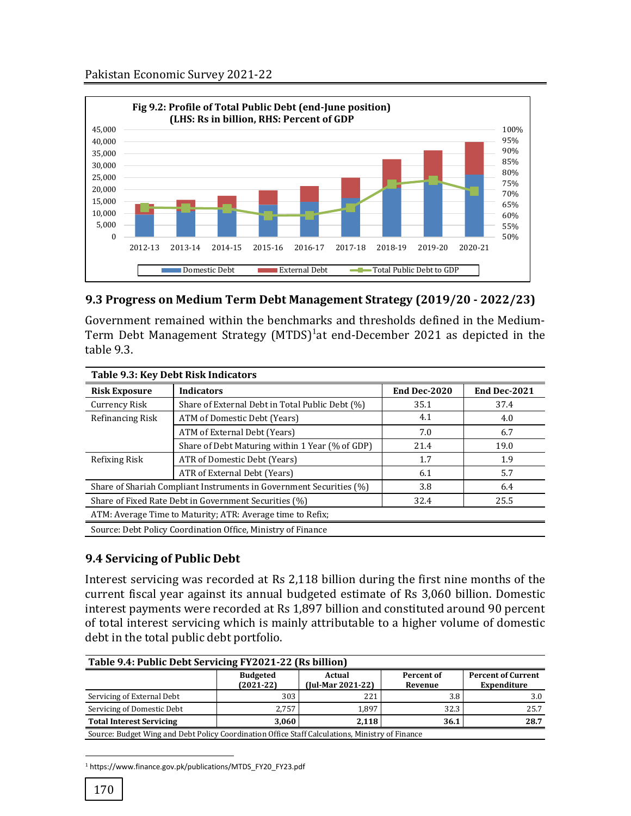

## **9.3 Progress on Medium Term Debt Management Strategy (2019/20 - 2022/23)**

Government remained within the benchmarks and thresholds defined in the Medium-Term Debt Management Strategy (MTDS)<sup>1</sup>at end-December 2021 as depicted in the table 9.3.

| Table 9.3: Key Debt Risk Indicators                        |                                                                     |              |              |  |  |  |  |  |  |
|------------------------------------------------------------|---------------------------------------------------------------------|--------------|--------------|--|--|--|--|--|--|
| <b>Risk Exposure</b>                                       | <b>Indicators</b>                                                   | End Dec-2020 | End Dec-2021 |  |  |  |  |  |  |
| Currency Risk                                              | Share of External Debt in Total Public Debt (%)                     | 35.1         | 37.4         |  |  |  |  |  |  |
| Refinancing Risk                                           | ATM of Domestic Debt (Years)                                        | 4.1          | 4.0          |  |  |  |  |  |  |
|                                                            | ATM of External Debt (Years)                                        | 7.0          | 6.7          |  |  |  |  |  |  |
|                                                            | Share of Debt Maturing within 1 Year (% of GDP)                     | 21.4         | 19.0         |  |  |  |  |  |  |
| Refixing Risk                                              | ATR of Domestic Debt (Years)                                        | 1.7          | 1.9          |  |  |  |  |  |  |
|                                                            | ATR of External Debt (Years)                                        | 6.1          | 5.7          |  |  |  |  |  |  |
|                                                            | Share of Shariah Compliant Instruments in Government Securities (%) | 3.8          | 6.4          |  |  |  |  |  |  |
|                                                            | Share of Fixed Rate Debt in Government Securities (%)               | 32.4         | 25.5         |  |  |  |  |  |  |
| ATM: Average Time to Maturity; ATR: Average time to Refix; |                                                                     |              |              |  |  |  |  |  |  |
|                                                            | Source: Debt Policy Coordination Office, Ministry of Finance        |              |              |  |  |  |  |  |  |

## **9.4 Servicing of Public Debt**

Interest servicing was recorded at Rs 2,118 billion during the first nine months of the current fiscal year against its annual budgeted estimate of Rs 3,060 billion. Domestic interest payments were recorded at Rs 1,897 billion and constituted around 90 percent of total interest servicing which is mainly attributable to a higher volume of domestic debt in the total public debt portfolio.

| Table 9.4: Public Debt Servicing FY2021-22 (Rs billion) |                                                                                                 |                       |                                                 |      |  |  |  |  |  |  |
|---------------------------------------------------------|-------------------------------------------------------------------------------------------------|-----------------------|-------------------------------------------------|------|--|--|--|--|--|--|
|                                                         | <b>Budgeted</b><br>$(2021-22)$                                                                  | Percent of<br>Revenue | <b>Percent of Current</b><br><b>Expenditure</b> |      |  |  |  |  |  |  |
| Servicing of External Debt                              | 303                                                                                             | 221                   | 3.8                                             | 3.0  |  |  |  |  |  |  |
| Servicing of Domestic Debt                              | 2.757                                                                                           | 1.897                 | 32.3                                            | 25.7 |  |  |  |  |  |  |
| <b>Total Interest Servicing</b>                         | 3.060                                                                                           | 2.118                 | 36.1                                            | 28.7 |  |  |  |  |  |  |
|                                                         | Source: Budget Wing and Debt Policy Coordination Office Staff Calculations, Ministry of Finance |                       |                                                 |      |  |  |  |  |  |  |

l <sup>1</sup> https://www.finance.gov.pk/publications/MTDS\_FY20\_FY23.pdf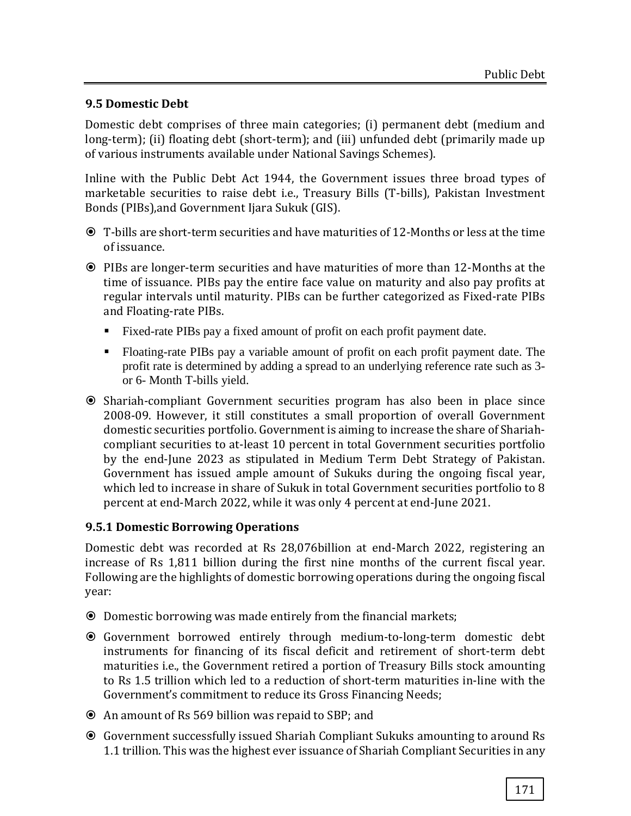# **9.5 Domestic Debt**

Domestic debt comprises of three main categories; (i) permanent debt (medium and long-term); (ii) floating debt (short-term); and (iii) unfunded debt (primarily made up of various instruments available under National Savings Schemes).

Inline with the Public Debt Act 1944, the Government issues three broad types of marketable securities to raise debt i.e., Treasury Bills (T-bills), Pakistan Investment Bonds (PIBs),and Government Ijara Sukuk (GIS).

- T-bills are short-term securities and have maturities of 12-Months or less at the time of issuance.
- PIBs are longer-term securities and have maturities of more than 12-Months at the time of issuance. PIBs pay the entire face value on maturity and also pay profits at regular intervals until maturity. PIBs can be further categorized as Fixed-rate PIBs and Floating-rate PIBs.
	- Fixed-rate PIBs pay a fixed amount of profit on each profit payment date.
	- Floating-rate PIBs pay a variable amount of profit on each profit payment date. The profit rate is determined by adding a spread to an underlying reference rate such as 3 or 6- Month T-bills yield.
- Shariah-compliant Government securities program has also been in place since 2008-09. However, it still constitutes a small proportion of overall Government domestic securities portfolio. Government is aiming to increase the share of Shariahcompliant securities to at-least 10 percent in total Government securities portfolio by the end-June 2023 as stipulated in Medium Term Debt Strategy of Pakistan. Government has issued ample amount of Sukuks during the ongoing fiscal year, which led to increase in share of Sukuk in total Government securities portfolio to 8 percent at end-March 2022, while it was only 4 percent at end-June 2021.

## **9.5.1 Domestic Borrowing Operations**

Domestic debt was recorded at Rs 28,076billion at end-March 2022, registering an increase of Rs 1,811 billion during the first nine months of the current fiscal year. Following are the highlights of domestic borrowing operations during the ongoing fiscal year:

- Domestic borrowing was made entirely from the financial markets;
- Government borrowed entirely through medium-to-long-term domestic debt instruments for financing of its fiscal deficit and retirement of short-term debt maturities i.e., the Government retired a portion of Treasury Bills stock amounting to Rs 1.5 trillion which led to a reduction of short-term maturities in-line with the Government's commitment to reduce its Gross Financing Needs;
- An amount of Rs 569 billion was repaid to SBP; and
- Government successfully issued Shariah Compliant Sukuks amounting to around Rs 1.1 trillion. This was the highest ever issuance of Shariah Compliant Securities in any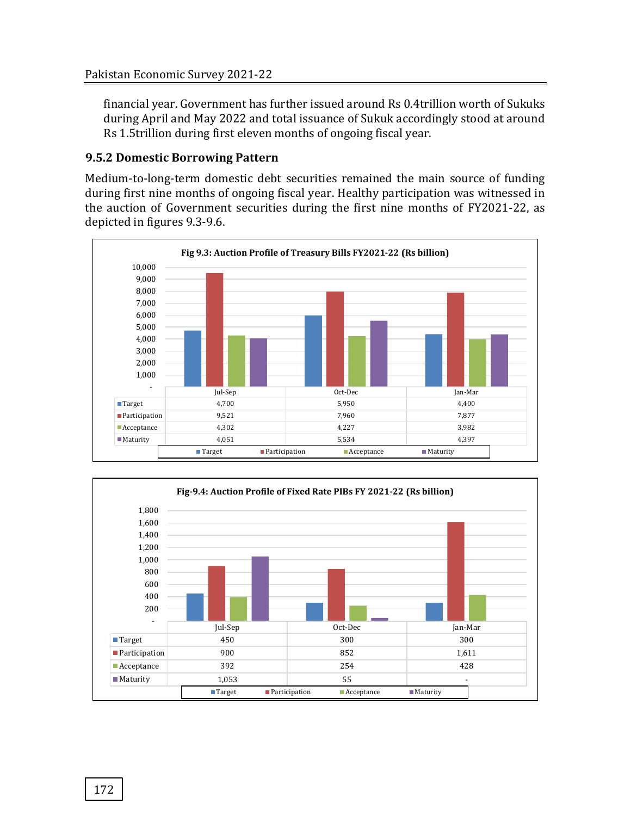financial year. Government has further issued around Rs 0.4trillion worth of Sukuks during April and May 2022 and total issuance of Sukuk accordingly stood at around Rs 1.5trillion during first eleven months of ongoing fiscal year.

## **9.5.2 Domestic Borrowing Pattern**

Medium-to-long-term domestic debt securities remained the main source of funding during first nine months of ongoing fiscal year. Healthy participation was witnessed in the auction of Government securities during the first nine months of FY2021-22, as depicted in figures 9.3-9.6.



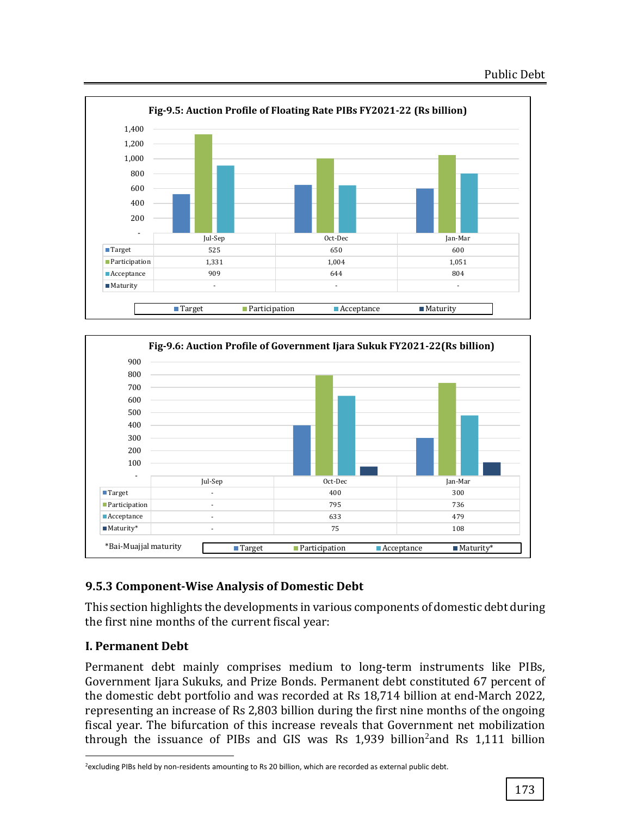



# **9.5.3 Component-Wise Analysis of Domestic Debt**

This section highlights the developments in various components of domestic debt during the first nine months of the current fiscal year:

# **I. Permanent Debt**

l

Permanent debt mainly comprises medium to long-term instruments like PIBs, Government Ijara Sukuks, and Prize Bonds. Permanent debt constituted 67 percent of the domestic debt portfolio and was recorded at Rs 18,714 billion at end-March 2022, representing an increase of Rs 2,803 billion during the first nine months of the ongoing fiscal year. The bifurcation of this increase reveals that Government net mobilization through the issuance of PIBs and GIS was Rs  $1,939$  billion<sup>2</sup> and Rs  $1,111$  billion

<sup>&</sup>lt;sup>2</sup>excluding PIBs held by non-residents amounting to Rs 20 billion, which are recorded as external public debt.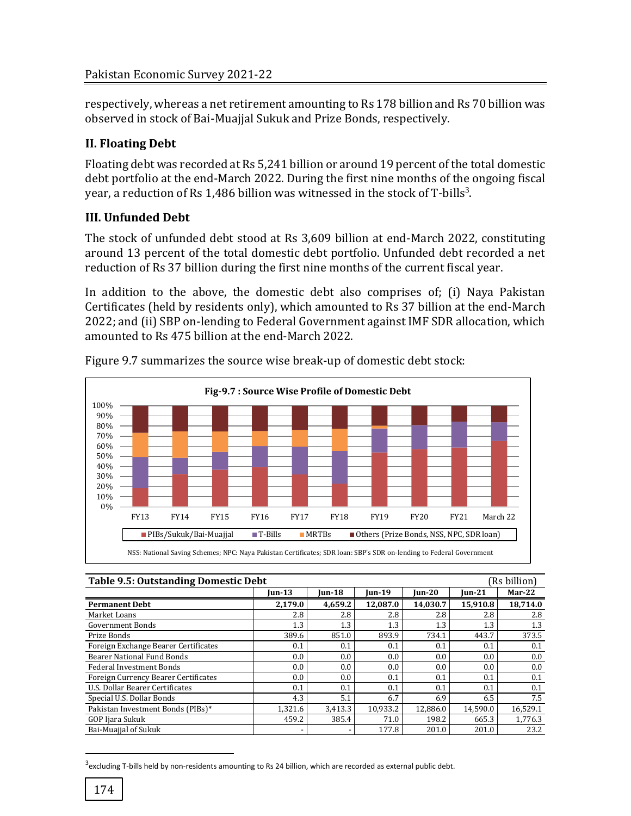respectively, whereas a net retirement amounting to Rs 178 billion and Rs 70 billion was observed in stock of Bai-Muajjal Sukuk and Prize Bonds, respectively.

# **II. Floating Debt**

Floating debt was recorded at Rs 5,241 billion or around 19 percent of the total domestic debt portfolio at the end-March 2022. During the first nine months of the ongoing fiscal year, a reduction of Rs 1,486 billion was witnessed in the stock of T-bills<sup>3</sup>.

# **III. Unfunded Debt**

The stock of unfunded debt stood at Rs 3,609 billion at end-March 2022, constituting around 13 percent of the total domestic debt portfolio. Unfunded debt recorded a net reduction of Rs 37 billion during the first nine months of the current fiscal year.

In addition to the above, the domestic debt also comprises of; (i) Naya Pakistan Certificates (held by residents only), which amounted to Rs 37 billion at the end-March 2022; and (ii) SBP on-lending to Federal Government against IMF SDR allocation, which amounted to Rs 475 billion at the end-March 2022.



Figure 9.7 summarizes the source wise break-up of domestic debt stock:

| <b>Table 9.5: Outstanding Domestic Debt</b> |                    |              |          |          | (Rs billion) |          |
|---------------------------------------------|--------------------|--------------|----------|----------|--------------|----------|
|                                             | $\mathbf{I}$ un-13 | $I$ un $-21$ | $Mar-22$ |          |              |          |
| <b>Permanent Debt</b>                       | 2,179.0            | 4,659.2      | 12,087.0 | 14,030.7 | 15,910.8     | 18,714.0 |
| Market Loans                                | 2.8                | 2.8          | 2.8      | 2.8      | 2.8          | 2.8      |
| <b>Government Bonds</b>                     | 1.3                | 1.3          | 1.3      | 1.3      | 1.3          | 1.3      |
| Prize Bonds                                 | 389.6              | 851.0        | 893.9    | 734.1    | 443.7        | 373.5    |
| Foreign Exchange Bearer Certificates        | 0.1                | 0.1          | 0.1      | 0.1      | 0.1          | 0.1      |
| <b>Bearer National Fund Bonds</b>           | 0.0                | 0.0          | 0.0      | 0.0      | 0.0          | 0.0      |
| <b>Federal Investment Bonds</b>             | $0.0\,$            | 0.0          | 0.0      | 0.0      | 0.0          | 0.0      |
| Foreign Currency Bearer Certificates        | $0.0^{\circ}$      | 0.0          | 0.1      | 0.1      | 0.1          | 0.1      |
| U.S. Dollar Bearer Certificates             | 0.1                | 0.1          | 0.1      | 0.1      | 0.1          | 0.1      |
| Special U.S. Dollar Bonds                   | 4.3                | 5.1          | 6.7      | 6.9      | 6.5          | 7.5      |
| Pakistan Investment Bonds (PIBs)*           | 1,321.6            | 3,413.3      | 10.933.2 | 12.886.0 | 14.590.0     | 16.529.1 |
| GOP Ijara Sukuk                             | 459.2              | 385.4        | 71.0     | 198.2    | 665.3        | 1,776.3  |
| Bai-Muajjal of Sukuk                        |                    |              | 177.8    | 201.0    | 201.0        | 23.2     |

 $3$ excluding T-bills held by non-residents amounting to Rs 24 billion, which are recorded as external public debt.

 $\overline{\phantom{a}}$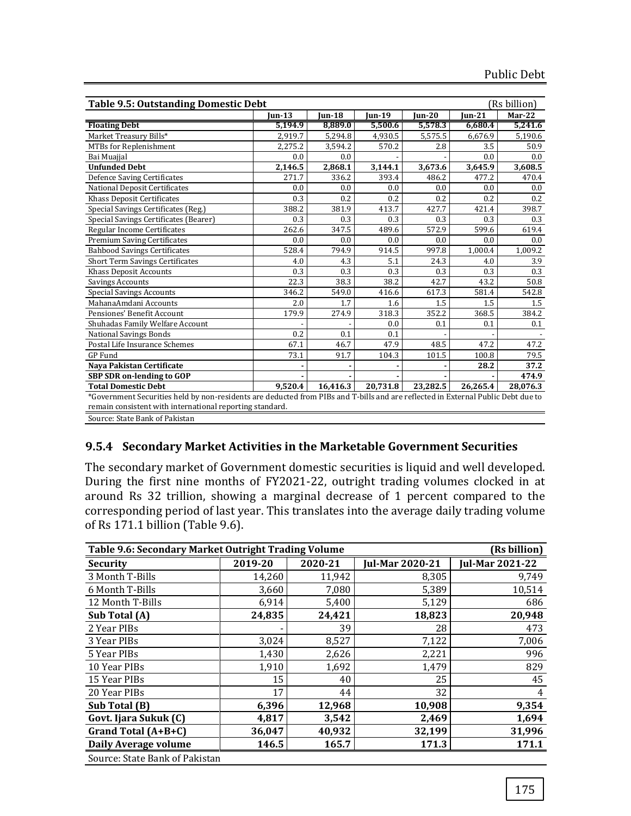| <b>Table 9.5: Outstanding Domestic Debt</b> |                                                                                                                                                                                              |               |               |           |                      | (Rs billion) |  |  |  |  |
|---------------------------------------------|----------------------------------------------------------------------------------------------------------------------------------------------------------------------------------------------|---------------|---------------|-----------|----------------------|--------------|--|--|--|--|
|                                             | <b>Jun-13</b>                                                                                                                                                                                | <b>Jun-18</b> | <b>Jun-19</b> | $ un-20 $ | <b>Jun-21</b>        | Mar-22       |  |  |  |  |
| <b>Floating Debt</b>                        | 5,194.9                                                                                                                                                                                      | 8,889.0       | 5,500.6       | 5,578.3   | 6,680.4              | 5,241.6      |  |  |  |  |
| Market Treasury Bills*                      | 2,919.7                                                                                                                                                                                      | 5,294.8       | 4,930.5       | 5,575.5   | 6,676.9              | 5,190.6      |  |  |  |  |
| MTBs for Replenishment                      | 2,275.2                                                                                                                                                                                      | 3,594.2       | 570.2         | 2.8       | 3.5                  | 50.9         |  |  |  |  |
| Bai Muajjal                                 | 0.0                                                                                                                                                                                          | 0.0           |               |           | 0.0                  | 0.0          |  |  |  |  |
| <b>Unfunded Debt</b>                        | 2,146.5                                                                                                                                                                                      | 2,868.1       | 3,144.1       | 3,673.6   | $3,645.\overline{9}$ | 3,608.5      |  |  |  |  |
| <b>Defence Saving Certificates</b>          | 271.7                                                                                                                                                                                        | 336.2         | 393.4         | 486.2     | 477.2                | 470.4        |  |  |  |  |
| <b>National Deposit Certificates</b>        | 0.0                                                                                                                                                                                          | 0.0           | 0.0           | 0.0       | 0.0                  | 0.0          |  |  |  |  |
| Khass Deposit Certificates                  | 0.3                                                                                                                                                                                          | 0.2           | 0.2           | 0.2       | 0.2                  | 0.2          |  |  |  |  |
| Special Savings Certificates (Reg.)         | 388.2                                                                                                                                                                                        | 381.9         | 413.7         | 427.7     | 421.4                | 398.7        |  |  |  |  |
| Special Savings Certificates (Bearer)       | 0.3                                                                                                                                                                                          | 0.3           | 0.3           | 0.3       | 0.3                  | 0.3          |  |  |  |  |
| Regular Income Certificates                 | 262.6                                                                                                                                                                                        | 347.5         | 489.6         | 572.9     | 599.6                | 619.4        |  |  |  |  |
| <b>Premium Saving Certificates</b>          | 0.0                                                                                                                                                                                          | 0.0           | 0.0           | 0.0       | 0.0                  | 0.0          |  |  |  |  |
| <b>Bahbood Savings Certificates</b>         | 528.4                                                                                                                                                                                        | 794.9         | 914.5         | 997.8     | 1.000.4              | 1,009.2      |  |  |  |  |
| Short Term Savings Certificates             | 4.0                                                                                                                                                                                          | 4.3           | 5.1           | 24.3      | 4.0                  | 3.9          |  |  |  |  |
| <b>Khass Deposit Accounts</b>               | 0.3                                                                                                                                                                                          | 0.3           | 0.3           | 0.3       | 0.3                  | 0.3          |  |  |  |  |
| <b>Savings Accounts</b>                     | 22.3                                                                                                                                                                                         | 38.3          | 38.2          | 42.7      | 43.2                 | 50.8         |  |  |  |  |
| <b>Special Savings Accounts</b>             | 346.2                                                                                                                                                                                        | 549.0         | 416.6         | 617.3     | 581.4                | 542.8        |  |  |  |  |
| MahanaAmdani Accounts                       | 2.0                                                                                                                                                                                          | 1.7           | 1.6           | 1.5       | 1.5                  | 1.5          |  |  |  |  |
| Pensiones' Benefit Account                  | 179.9                                                                                                                                                                                        | 274.9         | 318.3         | 352.2     | 368.5                | 384.2        |  |  |  |  |
| Shuhadas Family Welfare Account             |                                                                                                                                                                                              |               | 0.0           | 0.1       | 0.1                  | 0.1          |  |  |  |  |
| <b>National Savings Bonds</b>               | 0.2                                                                                                                                                                                          | 0.1           | 0.1           |           |                      |              |  |  |  |  |
| Postal Life Insurance Schemes               | 67.1                                                                                                                                                                                         | 46.7          | 47.9          | 48.5      | 47.2                 | 47.2         |  |  |  |  |
| <b>GP</b> Fund                              | 73.1                                                                                                                                                                                         | 91.7          | 104.3         | 101.5     | 100.8                | 79.5         |  |  |  |  |
| Naya Pakistan Certificate                   |                                                                                                                                                                                              |               |               |           | 28.2                 | 37.2         |  |  |  |  |
| <b>SBP SDR on-lending to GOP</b>            |                                                                                                                                                                                              |               |               |           |                      | 474.9        |  |  |  |  |
| <b>Total Domestic Debt</b>                  | 9,520.4                                                                                                                                                                                      | 16,416.3      | 20,731.8      | 23,282.5  | 26,265.4             | 28,076.3     |  |  |  |  |
| Source: State Bank of Pakistan              | *Government Securities held by non-residents are deducted from PIBs and T-bills and are reflected in External Public Debt due to<br>remain consistent with international reporting standard. |               |               |           |                      |              |  |  |  |  |

## **9.5.4 Secondary Market Activities in the Marketable Government Securities**

The secondary market of Government domestic securities is liquid and well developed. During the first nine months of FY2021-22, outright trading volumes clocked in at around Rs 32 trillion, showing a marginal decrease of 1 percent compared to the corresponding period of last year. This translates into the average daily trading volume of Rs 171.1 billion (Table 9.6).

| Table 9.6: Secondary Market Outright Trading Volume |         |         |                        | (Rs billion)           |
|-----------------------------------------------------|---------|---------|------------------------|------------------------|
| <b>Security</b>                                     | 2019-20 | 2020-21 | <b>Jul-Mar 2020-21</b> | <b>Jul-Mar 2021-22</b> |
| 3 Month T-Bills                                     | 14,260  | 11,942  | 8,305                  | 9,749                  |
| 6 Month T-Bills                                     | 3,660   | 7,080   | 5,389                  | 10,514                 |
| 12 Month T-Bills                                    | 6,914   | 5,400   | 5,129                  | 686                    |
| Sub Total (A)                                       | 24,835  | 24,421  | 18,823                 | 20,948                 |
| 2 Year PIBs                                         |         | 39      | 28                     | 473                    |
| 3 Year PIBs                                         | 3,024   | 8,527   | 7,122                  | 7,006                  |
| 5 Year PIBs                                         | 1,430   | 2,626   | 2,221                  | 996                    |
| 10 Year PIBs                                        | 1,910   | 1,692   | 1,479                  | 829                    |
| 15 Year PIBs                                        | 15      | 40      | 25                     | 45                     |
| 20 Year PIBs                                        | 17      | 44      | 32                     | 4                      |
| Sub Total (B)                                       | 6,396   | 12,968  | 10,908                 | 9,354                  |
| Govt. Ijara Sukuk (C)                               | 4,817   | 3,542   | 2,469                  | 1,694                  |
| Grand Total (A+B+C)                                 | 36,047  | 40,932  | 32,199                 | 31,996                 |
| Daily Average volume                                | 146.5   | 165.7   | 171.3                  | 171.1                  |
| Source: State Bank of Pakistan                      |         |         |                        |                        |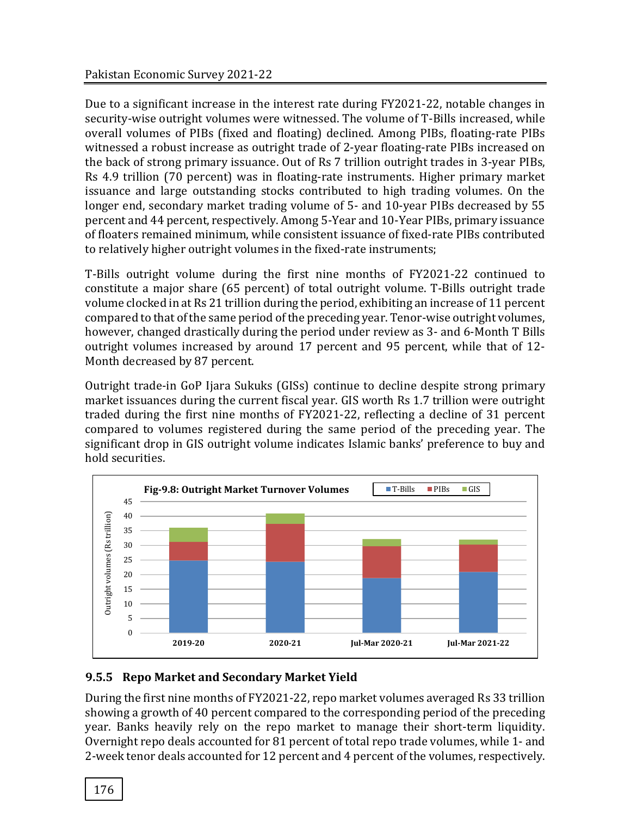Due to a significant increase in the interest rate during FY2021-22, notable changes in security-wise outright volumes were witnessed. The volume of T-Bills increased, while overall volumes of PIBs (fixed and floating) declined. Among PIBs, floating-rate PIBs witnessed a robust increase as outright trade of 2-year floating-rate PIBs increased on the back of strong primary issuance. Out of Rs 7 trillion outright trades in 3-year PIBs, Rs 4.9 trillion (70 percent) was in floating-rate instruments. Higher primary market issuance and large outstanding stocks contributed to high trading volumes. On the longer end, secondary market trading volume of 5- and 10-year PIBs decreased by 55 percent and 44 percent, respectively. Among 5-Year and 10-Year PIBs, primary issuance of floaters remained minimum, while consistent issuance of fixed-rate PIBs contributed to relatively higher outright volumes in the fixed-rate instruments;

T-Bills outright volume during the first nine months of FY2021-22 continued to constitute a major share (65 percent) of total outright volume. T-Bills outright trade volume clocked in at Rs 21 trillion during the period, exhibiting an increase of 11 percent compared to that of the same period of the preceding year. Tenor-wise outright volumes, however, changed drastically during the period under review as 3- and 6-Month T Bills outright volumes increased by around 17 percent and 95 percent, while that of 12- Month decreased by 87 percent.

Outright trade-in GoP Ijara Sukuks (GISs) continue to decline despite strong primary market issuances during the current fiscal year. GIS worth Rs 1.7 trillion were outright traded during the first nine months of FY2021-22, reflecting a decline of 31 percent compared to volumes registered during the same period of the preceding year. The significant drop in GIS outright volume indicates Islamic banks' preference to buy and hold securities.



# **9.5.5 Repo Market and Secondary Market Yield**

During the first nine months of FY2021-22, repo market volumes averaged Rs 33 trillion showing a growth of 40 percent compared to the corresponding period of the preceding year. Banks heavily rely on the repo market to manage their short-term liquidity. Overnight repo deals accounted for 81 percent of total repo trade volumes, while 1- and 2-week tenor deals accounted for 12 percent and 4 percent of the volumes, respectively.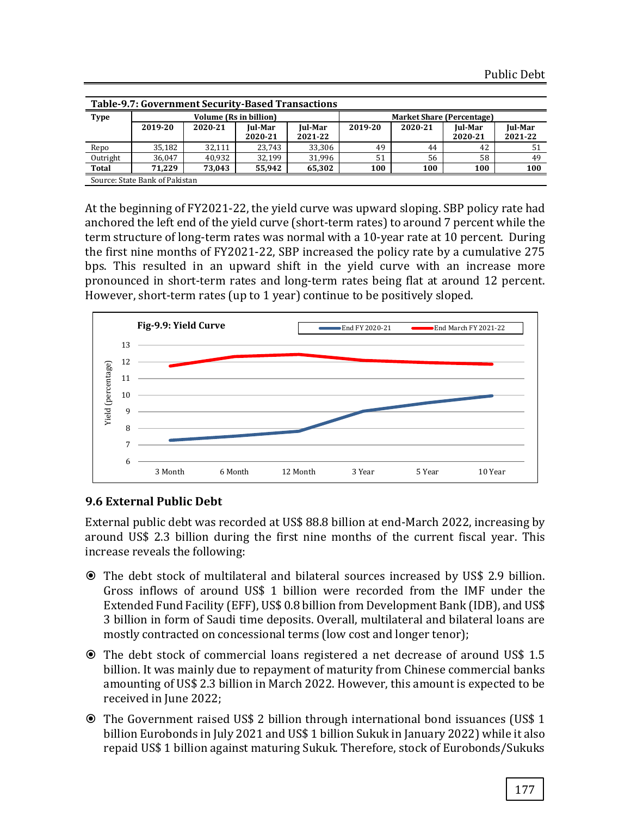|              | Table-9.7: Government Security-Based Transactions |                               |                |         |                                  |         |         |         |  |  |  |  |
|--------------|---------------------------------------------------|-------------------------------|----------------|---------|----------------------------------|---------|---------|---------|--|--|--|--|
| <b>Type</b>  |                                                   | <b>Volume (Rs in billion)</b> |                |         | <b>Market Share (Percentage)</b> |         |         |         |  |  |  |  |
|              | 2019-20                                           | 2020-21                       | <b>Iul-Mar</b> | Jul-Mar | 2019-20                          | 2020-21 | Jul-Mar | Jul-Mar |  |  |  |  |
|              |                                                   |                               | 2020-21        | 2021-22 |                                  |         | 2020-21 | 2021-22 |  |  |  |  |
| Repo         | 35,182                                            | 32.111                        | 23.743         | 33,306  | 49                               | 44      | 42      | 51      |  |  |  |  |
| Outright     | 36.047                                            | 40.932                        | 32.199         | 31.996  | 51                               | 56      | 58      | 49      |  |  |  |  |
| <b>Total</b> | 71.229                                            | 73.043                        | 55,942         | 65,302  | 100                              | 100     | 100     | 100     |  |  |  |  |
|              | Source: State Bank of Pakistan                    |                               |                |         |                                  |         |         |         |  |  |  |  |

At the beginning of FY2021-22, the yield curve was upward sloping. SBP policy rate had anchored the left end of the yield curve (short-term rates) to around 7 percent while the term structure of long-term rates was normal with a 10-year rate at 10 percent. During the first nine months of FY2021-22, SBP increased the policy rate by a cumulative 275 bps. This resulted in an upward shift in the yield curve with an increase more pronounced in short-term rates and long-term rates being flat at around 12 percent. However, short-term rates (up to 1 year) continue to be positively sloped.



# **9.6 External Public Debt**

External public debt was recorded at US\$ 88.8 billion at end-March 2022, increasing by around US\$ 2.3 billion during the first nine months of the current fiscal year. This increase reveals the following:

- The debt stock of multilateral and bilateral sources increased by US\$ 2.9 billion. Gross inflows of around US\$ 1 billion were recorded from the IMF under the Extended Fund Facility (EFF), US\$ 0.8 billion from Development Bank (IDB), and US\$ 3 billion in form of Saudi time deposits. Overall, multilateral and bilateral loans are mostly contracted on concessional terms (low cost and longer tenor);
- The debt stock of commercial loans registered a net decrease of around US\$ 1.5 billion. It was mainly due to repayment of maturity from Chinese commercial banks amounting of US\$ 2.3 billion in March 2022. However, this amount is expected to be received in June 2022;
- The Government raised US\$ 2 billion through international bond issuances (US\$ 1 billion Eurobonds in July 2021 and US\$ 1 billion Sukuk in January 2022) while it also repaid US\$ 1 billion against maturing Sukuk. Therefore, stock of Eurobonds/Sukuks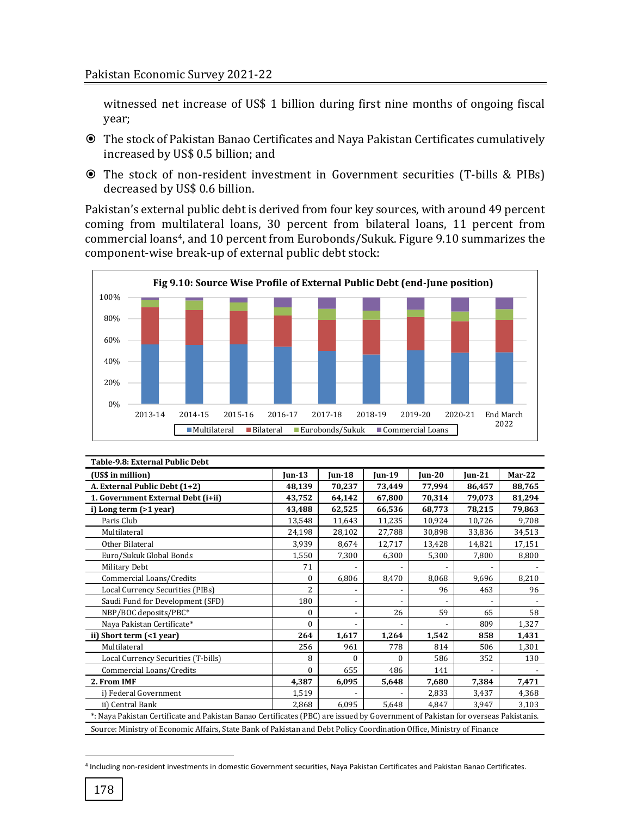witnessed net increase of US\$ 1 billion during first nine months of ongoing fiscal year;

- The stock of Pakistan Banao Certificates and Naya Pakistan Certificates cumulatively increased by US\$ 0.5 billion; and
- The stock of non-resident investment in Government securities (T-bills & PIBs) decreased by US\$ 0.6 billion.

Pakistan's external public debt is derived from four key sources, with around 49 percent coming from multilateral loans, 30 percent from bilateral loans, 11 percent from commercial loans4, and 10 percent from Eurobonds/Sukuk. Figure 9.10 summarizes the component-wise break-up of external public debt stock:



| Table-9.8: External Public Debt                                                                                       |                                                                                                                                  |                          |               |           |           |          |  |  |  |
|-----------------------------------------------------------------------------------------------------------------------|----------------------------------------------------------------------------------------------------------------------------------|--------------------------|---------------|-----------|-----------|----------|--|--|--|
| (US\$ in million)                                                                                                     | <b>Iun-13</b>                                                                                                                    | <b>Jun-18</b>            | <b>Iun-19</b> | $ un-20 $ | $I$ un-21 | $Mar-22$ |  |  |  |
| A. External Public Debt (1+2)                                                                                         | 48,139                                                                                                                           | 70,237                   | 73,449        | 77,994    | 86,457    | 88,765   |  |  |  |
| 1. Government External Debt (i+ii)                                                                                    | 43,752                                                                                                                           | 64,142                   | 67.800        | 70,314    | 79,073    | 81,294   |  |  |  |
| i) Long term (>1 year)                                                                                                | 43,488                                                                                                                           | 62,525                   | 66,536        | 68,773    | 78,215    | 79,863   |  |  |  |
| Paris Club                                                                                                            | 13,548                                                                                                                           | 11,643                   | 11,235        | 10,924    | 10,726    | 9,708    |  |  |  |
| Multilateral                                                                                                          | 24,198                                                                                                                           | 28,102                   | 27,788        | 30,898    | 33,836    | 34,513   |  |  |  |
| Other Bilateral                                                                                                       | 3,939                                                                                                                            | 8,674                    | 12,717        | 13,428    | 14,821    | 17,151   |  |  |  |
| Euro/Sukuk Global Bonds                                                                                               | 1,550                                                                                                                            | 7,300                    | 6,300         | 5,300     | 7,800     | 8,800    |  |  |  |
| Military Debt                                                                                                         | 71                                                                                                                               |                          |               |           |           |          |  |  |  |
| Commercial Loans/Credits                                                                                              | $\Omega$                                                                                                                         | 6,806                    | 8,470         | 8,068     | 9,696     | 8,210    |  |  |  |
| Local Currency Securities (PIBs)                                                                                      | $\overline{c}$                                                                                                                   |                          |               | 96        | 463       | 96       |  |  |  |
| Saudi Fund for Development (SFD)                                                                                      | 180                                                                                                                              | $\overline{\phantom{0}}$ |               |           |           |          |  |  |  |
| NBP/BOC deposits/PBC*                                                                                                 | $\theta$                                                                                                                         | $\overline{\phantom{0}}$ | 26            | 59        | 65        | 58       |  |  |  |
| Naya Pakistan Certificate*                                                                                            | $\theta$                                                                                                                         | $\overline{\phantom{0}}$ |               |           | 809       | 1,327    |  |  |  |
| ii) Short term (<1 year)                                                                                              | 264                                                                                                                              | 1,617                    | 1,264         | 1,542     | 858       | 1,431    |  |  |  |
| Multilateral                                                                                                          | 256                                                                                                                              | 961                      | 778           | 814       | 506       | 1,301    |  |  |  |
| Local Currency Securities (T-bills)                                                                                   | 8                                                                                                                                | $\Omega$                 | $\Omega$      | 586       | 352       | 130      |  |  |  |
| Commercial Loans/Credits                                                                                              | $\Omega$                                                                                                                         | 655                      | 486           | 141       |           |          |  |  |  |
| 2. From IMF                                                                                                           | 4,387                                                                                                                            | 6,095                    | 5,648         | 7,680     | 7,384     | 7,471    |  |  |  |
| i) Federal Government                                                                                                 | 1,519                                                                                                                            |                          |               | 2,833     | 3,437     | 4,368    |  |  |  |
| ii) Central Bank                                                                                                      | 2.868                                                                                                                            | 6,095                    | 5,648         | 4.847     | 3,947     | 3,103    |  |  |  |
|                                                                                                                       | *: Naya Pakistan Certificate and Pakistan Banao Certificates (PBC) are issued by Government of Pakistan for overseas Pakistanis. |                          |               |           |           |          |  |  |  |
| Source: Ministry of Economic Affairs, State Bank of Pakistan and Debt Policy Coordination Office, Ministry of Finance |                                                                                                                                  |                          |               |           |           |          |  |  |  |

<sup>4</sup> Including non-resident investments in domestic Government securities, Naya Pakistan Certificates and Pakistan Banao Certificates.

l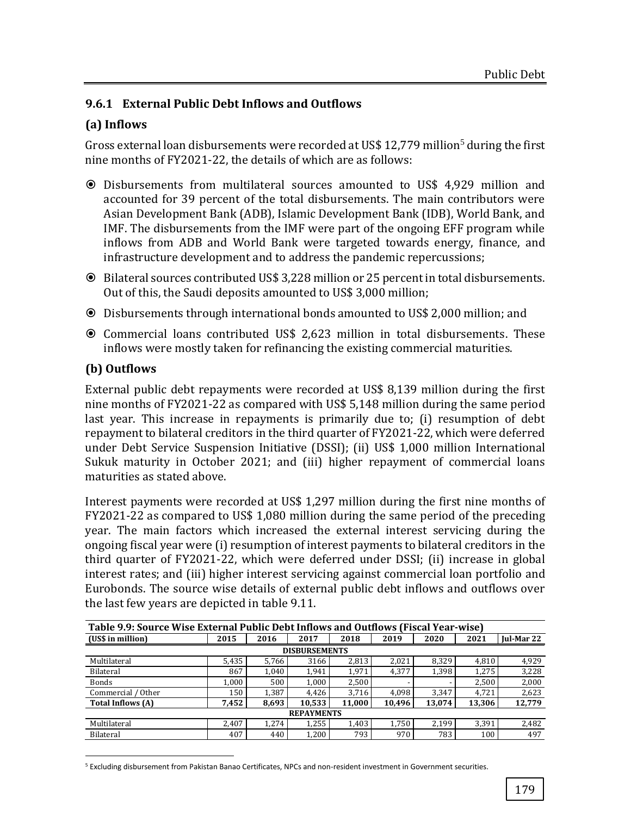# **9.6.1 External Public Debt Inflows and Outflows**

## **(a) Inflows**

Gross external loan disbursements were recorded at US\$ 12,779 million<sup>5</sup> during the first nine months of FY2021-22, the details of which are as follows:

- Disbursements from multilateral sources amounted to US\$ 4,929 million and accounted for 39 percent of the total disbursements. The main contributors were Asian Development Bank (ADB), Islamic Development Bank (IDB), World Bank, and IMF. The disbursements from the IMF were part of the ongoing EFF program while inflows from ADB and World Bank were targeted towards energy, finance, and infrastructure development and to address the pandemic repercussions;
- Bilateral sources contributed US\$ 3,228 million or 25 percent in total disbursements. Out of this, the Saudi deposits amounted to US\$ 3,000 million;
- Disbursements through international bonds amounted to US\$ 2,000 million; and
- Commercial loans contributed US\$ 2,623 million in total disbursements. These inflows were mostly taken for refinancing the existing commercial maturities.

## **(b) Outflows**

External public debt repayments were recorded at US\$ 8,139 million during the first nine months of FY2021-22 as compared with US\$ 5,148 million during the same period last year. This increase in repayments is primarily due to; (i) resumption of debt repayment to bilateral creditors in the third quarter of FY2021-22, which were deferred under Debt Service Suspension Initiative (DSSI); (ii) US\$ 1,000 million International Sukuk maturity in October 2021; and (iii) higher repayment of commercial loans maturities as stated above.

Interest payments were recorded at US\$ 1,297 million during the first nine months of FY2021-22 as compared to US\$ 1,080 million during the same period of the preceding year. The main factors which increased the external interest servicing during the ongoing fiscal year were (i) resumption of interest payments to bilateral creditors in the third quarter of FY2021-22, which were deferred under DSSI; (ii) increase in global interest rates; and (iii) higher interest servicing against commercial loan portfolio and Eurobonds. The source wise details of external public debt inflows and outflows over the last few years are depicted in table 9.11.

| Table 9.9: Source Wise External Public Debt Inflows and Outflows (Fiscal Year-wise) |       |       |        |        |        |        |        |            |  |  |
|-------------------------------------------------------------------------------------|-------|-------|--------|--------|--------|--------|--------|------------|--|--|
| (US\$ in million)                                                                   | 2015  | 2016  | 2017   | 2018   | 2019   | 2020   | 2021   | Jul-Mar 22 |  |  |
| <b>DISBURSEMENTS</b>                                                                |       |       |        |        |        |        |        |            |  |  |
| Multilateral                                                                        | 5,435 | 5,766 | 3166   | 2,813  | 2,021  | 8,329  | 4,810  | 4,929      |  |  |
| Bilateral                                                                           | 867   | 1.040 | 1,941  | 1,971  | 4,377  | 1,398  | 1,275  | 3,228      |  |  |
| Bonds                                                                               | 1,000 | 500   | 1,000  | 2,500  |        |        | 2,500  | 2,000      |  |  |
| Commercial / Other                                                                  | 150   | 1.387 | 4.426  | 3,716  | 4.098  | 3,347  | 4,721  | 2,623      |  |  |
| <b>Total Inflows (A)</b>                                                            | 7,452 | 8,693 | 10.533 | 11,000 | 10,496 | 13,074 | 13,306 | 12,779     |  |  |
| <b>REPAYMENTS</b>                                                                   |       |       |        |        |        |        |        |            |  |  |
| Multilateral                                                                        | 2,407 | 1.274 | 1,255  | 1,403  | 1,750  | 2.199  | 3.391  | 2,482      |  |  |
| Bilateral                                                                           | 407   | 440   | 1,200  | 793    | 970    | 783    | 100    | 497        |  |  |

l <sup>5</sup> Excluding disbursement from Pakistan Banao Certificates, NPCs and non-resident investment in Government securities.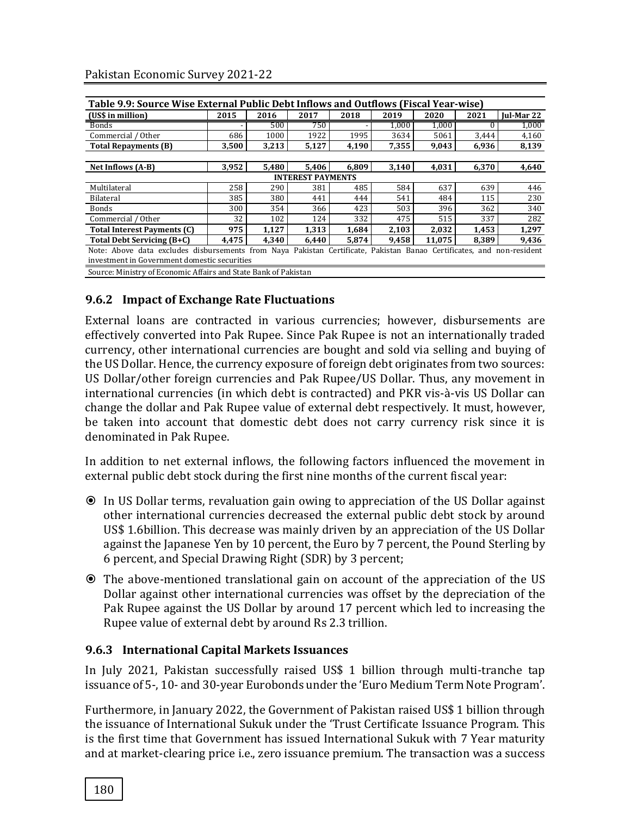| Table 9.9: Source Wise External Public Debt Inflows and Outflows (Fiscal Year-wise)                                   |       |       |       |       |       |        |       |                   |  |  |
|-----------------------------------------------------------------------------------------------------------------------|-------|-------|-------|-------|-------|--------|-------|-------------------|--|--|
| (US\$ in million)                                                                                                     | 2015  | 2016  | 2017  | 2018  | 2019  | 2020   | 2021  | <b>Iul-Mar 22</b> |  |  |
| <b>Bonds</b>                                                                                                          |       | 500   | 750   |       | 1,000 | 1,000  |       | 1,000             |  |  |
| Commercial / Other                                                                                                    | 686   | 1000  | 1922  | 1995  | 3634  | 5061   | 3,444 | 4,160             |  |  |
| <b>Total Repayments (B)</b>                                                                                           | 3.500 | 3,213 | 5,127 | 4,190 | 7,355 | 9,043  | 6,936 | 8,139             |  |  |
|                                                                                                                       |       |       |       |       |       |        |       |                   |  |  |
| Net Inflows (A-B)                                                                                                     | 3,952 | 5.480 | 5,406 | 6.809 | 3,140 | 4.031  | 6.370 | 4,640             |  |  |
| <b>INTEREST PAYMENTS</b>                                                                                              |       |       |       |       |       |        |       |                   |  |  |
| Multilateral                                                                                                          | 258   | 290   | 381   | 485   | 584   | 637    | 639   | 446               |  |  |
| Bilateral                                                                                                             | 385   | 380   | 441   | 444   | 541   | 484    | 115   | 230               |  |  |
| <b>Bonds</b>                                                                                                          | 300   | 354   | 366   | 423   | 503   | 396    | 362   | 340               |  |  |
| Commercial / Other                                                                                                    | 32    | 102   | 124   | 332   | 475   | 515    | 337   | 282               |  |  |
| <b>Total Interest Payments (C)</b>                                                                                    | 975   | 1,127 | 1.313 | 1,684 | 2,103 | 2,032  | 1,453 | 1,297             |  |  |
| Total Debt Servicing (B+C)                                                                                            | 4.475 | 4,340 | 6.440 | 5.874 | 9.458 | 11.075 | 8,389 | 9,436             |  |  |
| Note: Above data excludes disbursements from Naya Pakistan Certificate, Pakistan Banao Certificates, and non-resident |       |       |       |       |       |        |       |                   |  |  |
| investment in Government domestic securities                                                                          |       |       |       |       |       |        |       |                   |  |  |
| Source: Ministry of Economic Affairs and State Bank of Pakistan                                                       |       |       |       |       |       |        |       |                   |  |  |

## **9.6.2 Impact of Exchange Rate Fluctuations**

External loans are contracted in various currencies; however, disbursements are effectively converted into Pak Rupee. Since Pak Rupee is not an internationally traded currency, other international currencies are bought and sold via selling and buying of the US Dollar. Hence, the currency exposure of foreign debt originates from two sources: US Dollar/other foreign currencies and Pak Rupee/US Dollar. Thus, any movement in international currencies (in which debt is contracted) and PKR vis-à-vis US Dollar can change the dollar and Pak Rupee value of external debt respectively. It must, however, be taken into account that domestic debt does not carry currency risk since it is denominated in Pak Rupee.

In addition to net external inflows, the following factors influenced the movement in external public debt stock during the first nine months of the current fiscal year:

- In US Dollar terms, revaluation gain owing to appreciation of the US Dollar against other international currencies decreased the external public debt stock by around US\$ 1.6billion. This decrease was mainly driven by an appreciation of the US Dollar against the Japanese Yen by 10 percent, the Euro by 7 percent, the Pound Sterling by 6 percent, and Special Drawing Right (SDR) by 3 percent;
- The above-mentioned translational gain on account of the appreciation of the US Dollar against other international currencies was offset by the depreciation of the Pak Rupee against the US Dollar by around 17 percent which led to increasing the Rupee value of external debt by around Rs 2.3 trillion.

## **9.6.3 International Capital Markets Issuances**

In July 2021, Pakistan successfully raised US\$ 1 billion through multi-tranche tap issuance of 5-, 10- and 30-year Eurobonds under the 'Euro Medium Term Note Program'.

Furthermore, in January 2022, the Government of Pakistan raised US\$ 1 billion through the issuance of International Sukuk under the 'Trust Certificate Issuance Program. This is the first time that Government has issued International Sukuk with 7 Year maturity and at market-clearing price i.e., zero issuance premium. The transaction was a success